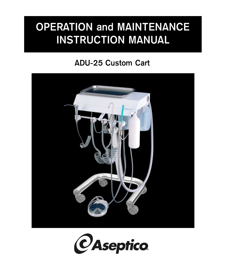# **OPERATION and MAINTENANCE INSTRUCTION MANUAL**

## **ADU-25 Custom Cart**



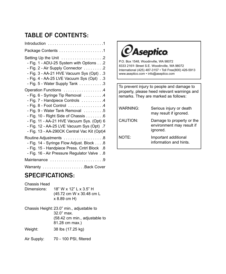### **TABLE OF CONTENTS:**

| Package Contents 1                                                                                                                                                                                                                                                                                                                                                         |
|----------------------------------------------------------------------------------------------------------------------------------------------------------------------------------------------------------------------------------------------------------------------------------------------------------------------------------------------------------------------------|
| Setting Up the Unit 2<br>- Fig. 1 - ADU-25 System with Options2<br>- Fig. 2 - Air Supply Connector 2<br>- Fig. 3 - AA-21 HVE Vacuum Sys (Opt). .3<br>- Fig. 4 - AA-25 LVE Vacuum Sys (Opt)3<br>- Fig. 5 - Water Supply Tank 3                                                                                                                                              |
| Operation Functions 4<br>- Fig. 6 - Syringe Tip Removal 4<br>- Fig. 7 - Handpiece Controls 4<br>$-$ Fig. 8 - Foot Control $\ldots \ldots \ldots \ldots$<br>- Fig. 9 - Water Tank Removal 5<br>- Fig. 10 - Right Side of Chassis 6<br>- Fig. 11 - AA-21 HVE Vacuum Sys. (Opt) 6<br>- Fig. 12 - AA-25 LVE Vacuum Sys (Opt) .7<br>- Fig. 13 - AA-290CK Central Vac Kit (Opt)4 |
| Routine Adjustments 8<br>- Fig. 14 - Syringe Flow Adjust. Block 8<br>- Fig. 15 - Handpiece Press. Cntrl Block .8<br>- Fig. 16 - Air Pressure Regulator Valve 8                                                                                                                                                                                                             |
| Maintenance 9                                                                                                                                                                                                                                                                                                                                                              |
| Warranty Back Cover                                                                                                                                                                                                                                                                                                                                                        |

### **SPECIFICATIONS:**

Chassis Head

| Dimensions:                                | 18" W x 12" L x 3.5" H |                          |
|--------------------------------------------|------------------------|--------------------------|
|                                            |                        | (45.72 cm W x 30.48 cm L |
|                                            | x 8.89 cm H)           |                          |
| $Chasais Uaiaht: 22.0" min. adiuetabla to$ |                        |                          |

Chassis Height: 23.0" min., adjustable to 32.0" max. (58.42 cm min., adjustable to 81.28 cm max.) Weight: 38 lbs (17.25 kg)

Air Supply: 70 - 100 PSI, filtered



P.O. Box 1548, Woodinville, WA 98072 8333 216<sup>th</sup> Street S.E. Woodinville, WA 98072 International (425) 487-3157 • Toll Free(800) 426-5913 www.aseptico.com • info@aseptico.com

To prevent injury to people and damage to property, please heed relevant warnings and remarks. They are marked as follows:

| WARNING: | Serious injury or death<br>may result if ignored.                  |
|----------|--------------------------------------------------------------------|
| CAUTION: | Damage to property or the<br>environment may result if<br>ignored. |
| NOTE:    | Important additional<br>information and hints.                     |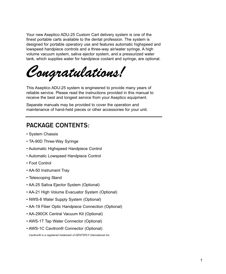Your new Aseptico ADU-25 Custom Cart delivery system is one of the finest portable carts available to the dental profession. The system is designed for portable operatory use and features automatic highspeed and lowspeed handpiece controls and a three-way air/water syringe. A high volume vacuum system, saliva ejector system, and a pressurized water tank, which supplies water for handpiece coolant and syringe, are optional.

*Congratulations!*

This Aseptico ADU-25 system is engineered to provide many years of reliable service. Please read the instructions provided in this manual to receive the best and longest service from your Aseptico equipment.

Separate manuals may be provided to cover the operation and maintenance of hand-held pieces or other accessories for your unit.

### **PACKAGE CONTENTS:**

- System Chassis
- TA-90D Three-Way Syringe
- Automatic Highspeed Handpiece Control
- Automatic Lowspeed Handpiece Control
- Foot Control
- AA-50 Instrument Tray
- Telescoping Stand
- AA-25 Saliva Ejector System (Optional)
- AA-21 High Volume Evacuator System (Optional)
- NWS-8 Water Supply System (Optional)
- AA-19 Fiber Optic Handpiece Connection (Optional)
- AA-290CK Central Vacuum Kit (Optional)
- AWS-1T Tap Water Connector (Optional)
- AWS-1C Cavitron® Connector (Optional)

*Cavitron® is a registered trademark of DENTSPLY International Inc.*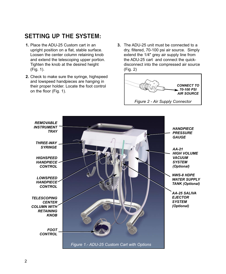### **SETTING UP THE SYSTEM:**

- **1.** Place the ADU-25 Custom cart in an upright position on a flat, stable surface. Loosen the center column retaining knob and extend the telescoping upper portion. Tighten the knob at the desired height (Fig. 1).
- **2.** Check to make sure the syringe, highspeed and lowspeed handpieces are hanging in their proper holder. Locate the foot control on the floor (Fig. 1).
- **3.** The ADU-25 unit must be connected to a dry, filtered, 70-100 psi air source. Simply extend the 1/4" grey air supply line from the ADU-25 cart and connect the quickdisconnect into the compressed air source (Fig. 2)



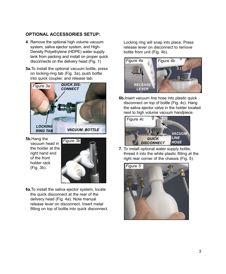#### **OPTIONAL ACCESSORIES SETUP:**

- **4**. Remove the optional high volume vacuum system, saliva ejector system, and High-Density Polyethylene (HDPE) water supply tank from packing and install on proper quick disconnects on the delivery head (Fig. 1)
- **5a.**To install the optional vacuum bottle, press on locking-ring tab (Fig. 3a), push bottle into quick coupler, and release tab.



**5b.**Hang the vacuum head in the holder at the right hand end of the front holder rack (Fig. 3b).



**6a.**To install the saliva ejector system, locate the quick disconnect at the rear of the delivery head (Fig. 4a). Note manual release lever on disconnect. Insert metal fitting on top of bottle into quick disconnect. Locking ring will snap into place. Press release lever on disconnect to remove bottle from unit (Fig. 4b).



**6b.**Insert vacuum line hose into plastic quick disconnect on top of bottle (Fig. 4c). Hang the saliva ejector valve in the holder located next to high volume vacuum handpiece.



**7.** To install optional water supply bottle, thread it into the white plastic fitting at the right rear corner of the chassis (Fig. 5).

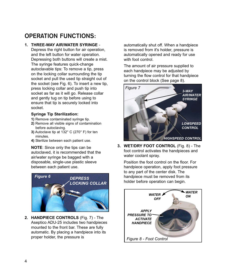### **OPERATION FUNCTIONS:**

#### **1. THREE-WAY AIR/WATER SYRINGE** -

Depress the right button for air operation, and the left button for water operation. Depressing both buttons will create a mist. The syringe features quick-change autoclavable tips: To remove a tip, press on the locking collar surrounding the tip socket and pull the used tip straight out of the socket (see Fig. 6). To insert a new tip, press locking collar and push tip into socket as far as it will go. Release collar and gently tug on tip before using to ensure that tip is securely locked into socket.

#### **Syringe Tip Sterilization:**

- **1)** Remove contaminated syringe tip.
- **2)** Remove all visible signs of contamination before autoclaving.
- **3)** Autoclave tip at 132° C (270° F) for ten minutes.
- **4)** Sterilize between each patient use.

**NOTE**: Since only the tips can be autoclaved, it is recommended that the air/water syringe be bagged with a disposable, single-use plastic sleeve between each patient use.



**2. HANDPIECE CONTROLS** (Fig. 7) - The Aseptico ADU-25 includes two handpieces mounted to the front bar. These are fully automatic. By placing a handpiece into its proper holder, the pressure is

automatically shut off. When a handpiece is removed from it's holder, pressure is automatically opened and ready for use with foot control.

The amount of air pressure supplied to each handpiece may be adjusted by turning the flow control for that handpiece on the control block (See page 8).



**3. WET/DRY FOOT CONTROL** (Fig. 8) - The foot control activates the handpieces and water coolant spray.

Position the foot control on the floor. For handpiece operation, apply foot pressure to any part of the center disk. The handpiece must be removed from its holder before operation can begin.

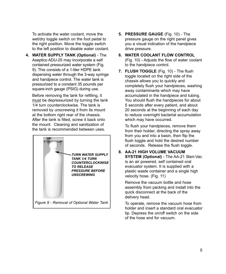To activate the water coolant, move the wet/dry toggle switch on the foot pedal to the right position. Move the toggle switch to the left position to disable water coolant.

**4. WATER SUPPLY TANK (Optional)** - The Aseptico ADU-25 may incorporate a self contained pressurized water system (Fig. 9). This consists of a 1-liter HDPE tank dispensing water through the 3-way syringe and handpiece control. The water tank is pressurized to a constant 35 pounds per square-inch gauge (PSIG) during use.

Before removing the tank for refilling, it must be depressurized by turning the tank 1/4 turn counterclockwise. The tank is removed by unscrewing it from its mount at the bottom right rear of the chassis. After the tank is filled, screw it back onto the mount. Cleaning and sanitization of the tank is recommended between uses.



- **5. PRESSURE GAUGE** (Fig. 10) The pressure gauge on the right panel gives you a visual indication of the handpiece drive pressure.
- **6. WATER COOLANT FLOW CONTROL** (Fig. 10) - Adjusts the flow of water coolant to the handpiece control.
- **7. FLUSH TOGGLE** (Fig. 10) The flush toggle located on the right side of the chassis allows you to quickly and completely flush your handpieces, washing away contaminants which may have accumulated in the handpiece and tubing. You should flush the handpieces for about 5 seconds after every patient, and about 20 seconds at the beginning of each day to reduce overnight bacterial accumulation which may have occurred.

To flush your handpieces, remove them from their holder, directing the spray away from you and into a basin, then flip the flush toggle and hold the desired number of seconds. Release the flush toggle.

**8. AA-21 HIGH VOLUME VACUUM SYSTEM (Optional)** - The AA-21 Steri-Vac is an air powered, self contained oral evacuator system. It is supplied with a plastic waste container and a single high velocity hose. (Fig. 11)

Remove the vacuum bottle and hose assembly from packing and install into the quick disconnect at the back of the delivery head.

To operate, remove the vacuum hose from holder and insert a standard oral evacuator tip. Depress the on/off switch on the side of the hose end for vacuum.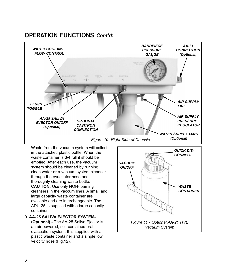



Waste from the vacuum system will collect in the attached plastic bottle. When the waste container is 3/4 full it should be emptied. After each use, the vacuum system should be cleaned by running clean water or a vacuum system cleanser through the evacuator hose and thoroughly cleaning waste bottle. **CAUTION:** Use only NON-foaming cleansers in the vaccum lines. A small and large capacity waste container are available and are interchangeable. The ADU-25 is supplied with a large capacity container.

**9. AA-25 SALIVA EJECTOR SYSTEM- (Optional) -** The AA-25 Saliva Ejector is an air powered, self contained oral evacuation system. It is supplied with a plastic waste container and a single low velocity hose (Fig.12).

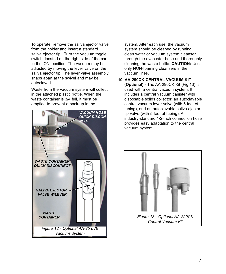To operate, remove the saliva ejector valve from the holder and insert a standard saliva ejector tip. Turn the vacuum toggle switch, located on the right side of the cart, to the 'ON' position. The vacuum may be adjusted by moving the lever valve on the saliva ejector tip. The lever valve assembly snaps apart at the swivel and may be autoclaved.

Waste from the vacuum system will collect in the attached plastic bottle. When the waste container is 3/4 full, it must be emptied to prevent a back-up in the



system. After each use, the vacuum system should be cleaned by running clean water or vacuum system cleanser through the evacuator hose and thoroughly cleaning the waste bottle. **CAUTION:** Use only NON-foaming cleansers in the vaccum lines.

#### **10. AA-290CK CENTRAL VACUUM KIT**

**(Optional) -** The AA-290CK Kit (Fig.13) is used with a central vacuum system. It includes a central vacuum canister with disposable solids collector, an autoclavable central vacuum lever valve (with 5 feet of tubing), and an autoclavable saliva ejector tip valve (with 5 feet of tubing). An industry-standard 1/2-inch connection hose provides easy adaptation to the central vacuum system.



*Central Vacuum Kit*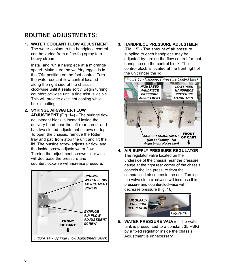### **ROUTINE ADJUSTMENTS:**

#### **1. WATER COOLANT FLOW ADJUSTMENT** The water coolant to the handpiece control can be varied from a fine fog spray to a

heavy stream.

Install and run a handpiece at a midrange speed. Make sure the wet/dry toggle is in the 'ON' position on the foot control. Turn the water coolant flow control located along the right side of the chassis clockwise until it seats softly. Begin turning counterclockwise until a fine mist is visible. This will provide excellent cooling while burr is cutting.

**2. SYRINGE AIR/WATER FLOW ADJUSTMENT** (Fig. 14) - The syringe flow adjustment block is located inside the delivery head near the left rear corner and has two slotted adjustment screws on top. To open the chassis, remove the Ritter tray and pad from atop the unit and lift the lid. The outside screw adjusts air flow and the inside screw adjusts water flow. Turning the adjustment screws clockwise will decrease the pressure and counterclockwise will increase pressure.



**3. HANDPIECE PRESSURE ADJUSTMENT**

(Fig. 15) - The amount of air pressure supplied to each handpiece may be adjusted by turning the flow control for that handpiece on the control block. The control block is located at the front right of the unit under the lid.



**4. AIR SUPPLY PRESSURE REGULATOR** The regulator valve located on the underside of the chassis near the pressure gauge at the right rear corner of the chassis controls the line pressure from the compressed air source to the unit. Turning the valve stem clockwise will increase this pressure and counterclockwise will decrease pressure (Fig. 16).



**5. WATER PRESSURE VALV**E - The water tank is pressurized to a constant 35 PSIG by a fixed regulator inside the chassis.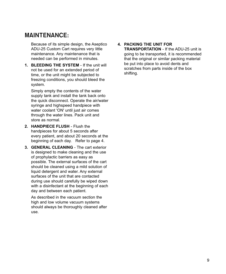### **MAINTENANCE:**

Because of its simple design, the Aseptico ADU-25 Custom Cart requires very little maintenance. Any maintenance that is needed can be performed in minutes.

**1. BLEEDING THE SYSTEM** - If the unit will not be used for an extended period of time, or the unit might be subjected to freezing conditions, you should bleed the system.

Simply empty the contents of the water supply tank and install the tank back onto the quick disconnect. Operate the air/water syringe and highspeed handpiece with water coolant 'ON' until just air comes through the water lines. Pack unit and store as normal.

- **2. HANDPIFCF FLUSH Flush the** handpieces for about 5 seconds after every patient, and about 20 seconds at the beginning of each day. Refer to page 4.
- **3. GENERAL CLEANING** The cart exterior is designed to make cleaning and the use of prophylactic barriers as easy as possible. The external surfaces of the cart should be cleaned using a mild solution of liquid detergent and water. Any external surfaces of the unit that are contacted during use should carefully be wiped down with a disinfectant at the beginning of each day and between each patient.

As described in the vacuum section the high and low volume vacuum systems should always be thoroughly cleaned after use.

#### **4. PACKING THE UNIT FOR**

**TRANSPORTATION** - If the ADU-25 unit is going to be transported, it is recommended that the original or similar packing material be put into place to avoid dents and scratches from parts inside of the box shifting.